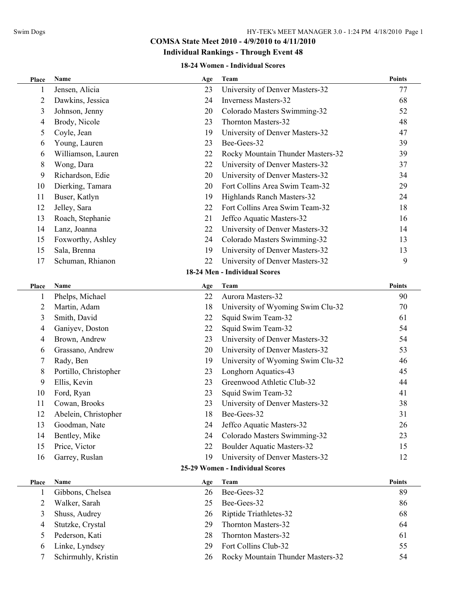## **Individual Rankings - Through Event 48**

#### **18-24 Women - Individual Scores**

| Place | <b>Name</b>           | Age | Team                              | <b>Points</b> |
|-------|-----------------------|-----|-----------------------------------|---------------|
| 1     | Jensen, Alicia        | 23  | University of Denver Masters-32   | 77            |
| 2     | Dawkins, Jessica      | 24  | <b>Inverness Masters-32</b>       | 68            |
| 3     | Johnson, Jenny        | 20  | Colorado Masters Swimming-32      | 52            |
| 4     | Brody, Nicole         | 23  | Thornton Masters-32               | 48            |
| 5     | Coyle, Jean           | 19  | University of Denver Masters-32   | 47            |
| 6     | Young, Lauren         | 23  | Bee-Gees-32                       | 39            |
| 6     | Williamson, Lauren    | 22  | Rocky Mountain Thunder Masters-32 | 39            |
| 8     | Wong, Dara            | 22  | University of Denver Masters-32   | 37            |
| 9     | Richardson, Edie      | 20  | University of Denver Masters-32   | 34            |
| 10    | Dierking, Tamara      | 20  | Fort Collins Area Swim Team-32    | 29            |
| 11    | Buser, Katlyn         | 19  | Highlands Ranch Masters-32        | 24            |
| 12    | Jelley, Sara          | 22  | Fort Collins Area Swim Team-32    | 18            |
| 13    | Roach, Stephanie      | 21  | Jeffco Aquatic Masters-32         | 16            |
| 14    | Lanz, Joanna          | 22  | University of Denver Masters-32   | 14            |
| 15    | Foxworthy, Ashley     | 24  | Colorado Masters Swimming-32      | 13            |
| 15    | Sala, Brenna          | 19  | University of Denver Masters-32   | 13            |
| 17    | Schuman, Rhianon      | 22  | University of Denver Masters-32   | 9             |
|       |                       |     | 18-24 Men - Individual Scores     |               |
| Place | Name                  | Age | Team                              | <b>Points</b> |
|       | Phelps, Michael       | 22  | Aurora Masters-32                 | 90            |
| 2     | Martin, Adam          | 18  | University of Wyoming Swim Clu-32 | 70            |
| 3     | Smith, David          | 22  | Squid Swim Team-32                | 61            |
| 4     | Ganiyev, Doston       | 22  | Squid Swim Team-32                | 54            |
| 4     | Brown, Andrew         | 23  | University of Denver Masters-32   | 54            |
| 6     | Grassano, Andrew      | 20  | University of Denver Masters-32   | 53            |
| 7     | Rady, Ben             | 19  | University of Wyoming Swim Clu-32 | 46            |
| 8     | Portillo, Christopher | 23  | Longhorn Aquatics-43              | 45            |
| 9     | Ellis, Kevin          | 23  | Greenwood Athletic Club-32        | 44            |
| 10    | Ford, Ryan            | 23  | Squid Swim Team-32                | 41            |
| 11    | Cowan, Brooks         | 23  | University of Denver Masters-32   | 38            |
| 12    | Abelein, Christopher  | 18  | Bee-Gees-32                       | 31            |
| 13    | Goodman, Nate         | 24  | Jeffco Aquatic Masters-32         | 26            |
| 14    | Bentley, Mike         | 24  | Colorado Masters Swimming-32      | 23            |
| 15    | Price, Victor         | 22  | <b>Boulder Aquatic Masters-32</b> | 15            |
| 16    | Garrey, Ruslan        | 19  | University of Denver Masters-32   | 12            |
|       |                       |     | 25-29 Women - Individual Scores   |               |
| Place | Name                  | Age | Team                              | Points        |
| 1     | Gibbons, Chelsea      | 26  | Bee-Gees-32                       | 89            |
| 2     | Walker, Sarah         | 25  | Bee-Gees-32                       | 86            |
| 3     | Shuss, Audrey         | 26  | Riptide Triathletes-32            | 68            |
| 4     | Stutzke, Crystal      | 29  | Thornton Masters-32               | 64            |
| 5     | Pederson, Kati        | 28  | Thornton Masters-32               | 61            |
| 6     | Linke, Lyndsey        | 29  | Fort Collins Club-32              | 55            |
| 7     | Schirmuhly, Kristin   | 26  | Rocky Mountain Thunder Masters-32 | 54            |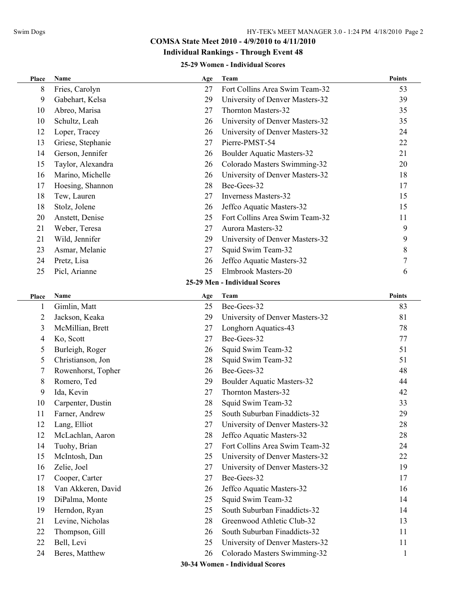## **Individual Rankings - Through Event 48**

#### **25-29 Women - Individual Scores**

| Place | Name               | Age | Team                              | <b>Points</b> |
|-------|--------------------|-----|-----------------------------------|---------------|
| 8     | Fries, Carolyn     | 27  | Fort Collins Area Swim Team-32    | 53            |
| 9     | Gabehart, Kelsa    | 29  | University of Denver Masters-32   | 39            |
| 10    | Abreo, Marisa      | 27  | Thornton Masters-32               | 35            |
| 10    | Schultz, Leah      | 26  | University of Denver Masters-32   | 35            |
| 12    | Loper, Tracey      | 26  | University of Denver Masters-32   | 24            |
| 13    | Griese, Stephanie  | 27  | Pierre-PMST-54                    | 22            |
| 14    | Gerson, Jennifer   | 26  | <b>Boulder Aquatic Masters-32</b> | 21            |
| 15    | Taylor, Alexandra  | 26  | Colorado Masters Swimming-32      | 20            |
| 16    | Marino, Michelle   | 26  | University of Denver Masters-32   | 18            |
| 17    | Hoesing, Shannon   | 28  | Bee-Gees-32                       | 17            |
| 18    | Tew, Lauren        | 27  | <b>Inverness Masters-32</b>       | 15            |
| 18    | Stolz, Jolene      | 26  | Jeffco Aquatic Masters-32         | 15            |
| 20    | Anstett, Denise    | 25  | Fort Collins Area Swim Team-32    | 11            |
| 21    | Weber, Teresa      | 27  | Aurora Masters-32                 | 9             |
| 21    | Wild, Jennifer     | 29  | University of Denver Masters-32   | 9             |
| 23    | Asmar, Melanie     | 27  | Squid Swim Team-32                | 8             |
| 24    | Pretz, Lisa        | 26  | Jeffco Aquatic Masters-32         | 7             |
| 25    | Picl, Arianne      | 25  | Elmbrook Masters-20               | 6             |
|       |                    |     | 25-29 Men - Individual Scores     |               |
| Place | Name               | Age | Team                              | <b>Points</b> |
| 1     | Gimlin, Matt       | 25  | Bee-Gees-32                       | 83            |
| 2     | Jackson, Keaka     | 29  | University of Denver Masters-32   | 81            |
| 3     | McMillian, Brett   | 27  | Longhorn Aquatics-43              | 78            |
| 4     | Ko, Scott          | 27  | Bee-Gees-32                       | 77            |
| 5     | Burleigh, Roger    | 26  | Squid Swim Team-32                | 51            |
| 5     | Christianson, Jon  | 28  | Squid Swim Team-32                | 51            |
| 7     | Rowenhorst, Topher | 26  | Bee-Gees-32                       | 48            |
| 8     | Romero, Ted        | 29  | <b>Boulder Aquatic Masters-32</b> | 44            |
| 9     | Ida, Kevin         | 27  | Thornton Masters-32               | 42            |
| 10    | Carpenter, Dustin  | 28  | Squid Swim Team-32                | 33            |
| 11    | Farner, Andrew     | 25  | South Suburban Finaddicts-32      | 29            |
| 12    | Lang, Elliot       | 27  | University of Denver Masters-32   | 28            |
| 12    | McLachlan, Aaron   | 28  | Jeffco Aquatic Masters-32         | 28            |
| 14    | Tuohy, Brian       | 27  | Fort Collins Area Swim Team-32    | 24            |
| 15    | McIntosh, Dan      | 25  | University of Denver Masters-32   | 22            |
| 16    | Zelie, Joel        | 27  | University of Denver Masters-32   | 19            |
| 17    | Cooper, Carter     | 27  | Bee-Gees-32                       | 17            |
| 18    | Van Akkeren, David | 26  | Jeffco Aquatic Masters-32         | 16            |
| 19    | DiPalma, Monte     | 25  | Squid Swim Team-32                | 14            |
| 19    | Herndon, Ryan      | 25  | South Suburban Finaddicts-32      | 14            |
| 21    | Levine, Nicholas   | 28  | Greenwood Athletic Club-32        | 13            |
| 22    | Thompson, Gill     | 26  | South Suburban Finaddicts-32      | 11            |
| 22    | Bell, Levi         | 25  | University of Denver Masters-32   | 11            |
| 24    | Beres, Matthew     | 26  | Colorado Masters Swimming-32      | 1             |
|       |                    |     | 30-34 Women - Individual Scores   |               |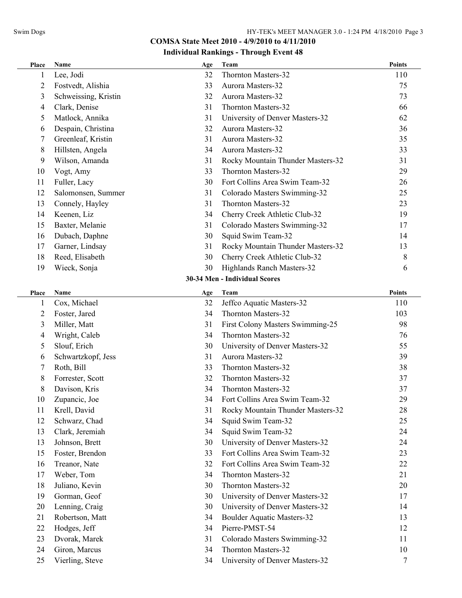| Place          | Name                 | Age | Team                              | <b>Points</b> |
|----------------|----------------------|-----|-----------------------------------|---------------|
|                | Lee, Jodi            | 32  | Thornton Masters-32               | 110           |
| $\overline{2}$ | Fostvedt, Alishia    | 33  | Aurora Masters-32                 | 75            |
| 3              | Schweissing, Kristin | 32  | Aurora Masters-32                 | 73            |
| 4              | Clark, Denise        | 31  | Thornton Masters-32               | 66            |
| 5              | Matlock, Annika      | 31  | University of Denver Masters-32   | 62            |
| 6              | Despain, Christina   | 32  | Aurora Masters-32                 | 36            |
| 7              | Greenleaf, Kristin   | 31  | Aurora Masters-32                 | 35            |
| 8              | Hillsten, Angela     | 34  | Aurora Masters-32                 | 33            |
| 9              | Wilson, Amanda       | 31  | Rocky Mountain Thunder Masters-32 | 31            |
| 10             | Vogt, Amy            | 33  | Thornton Masters-32               | 29            |
| 11             | Fuller, Lacy         | 30  | Fort Collins Area Swim Team-32    | 26            |
| 12             | Salomonsen, Summer   | 31  | Colorado Masters Swimming-32      | 25            |
| 13             | Connely, Hayley      | 31  | Thornton Masters-32               | 23            |
| 14             | Keenen, Liz          | 34  | Cherry Creek Athletic Club-32     | 19            |
| 15             | Baxter, Melanie      | 31  | Colorado Masters Swimming-32      | 17            |
| 16             | Dubach, Daphne       | 30  | Squid Swim Team-32                | 14            |
| 17             | Garner, Lindsay      | 31  | Rocky Mountain Thunder Masters-32 | 13            |
| 18             | Reed, Elisabeth      | 30  | Cherry Creek Athletic Club-32     | 8             |
| 19             | Wieck, Sonja         | 30  | Highlands Ranch Masters-32        | 6             |
|                |                      |     | 30-34 Men - Individual Scores     |               |
| Place          | Name                 | Age | Team                              | <b>Points</b> |
| 1              | Cox, Michael         | 32  | Jeffco Aquatic Masters-32         | 110           |
| $\overline{2}$ | Foster, Jared        | 34  | Thornton Masters-32               | 103           |
| 3              | Miller, Matt         | 31  | First Colony Masters Swimming-25  | 98            |
| 4              | Wright, Caleb        | 34  | Thornton Masters-32               | 76            |
| 5              | Slouf, Erich         | 30  | University of Denver Masters-32   | 55            |
| 6              | Schwartzkopf, Jess   | 31  | Aurora Masters-32                 | 39            |
| 7              | Roth, Bill           | 33  | Thornton Masters-32               | 38            |
| 8              | Forrester, Scott     | 32  | Thornton Masters-32               | 37            |
| 8              | Davison, Kris        | 34  | Thornton Masters-32               | 37            |
| 10             | Zupancic, Joe        | 34  | Fort Collins Area Swim Team-32    | 29            |
| 11             | Krell, David         | 31  | Rocky Mountain Thunder Masters-32 | 28            |
| 12             | Schwarz, Chad        | 34  | Squid Swim Team-32                | 25            |
| 13             | Clark, Jeremiah      | 34  | Squid Swim Team-32                | 24            |
| 13             | Johnson, Brett       | 30  | University of Denver Masters-32   | 24            |
| 15             | Foster, Brendon      | 33  | Fort Collins Area Swim Team-32    | 23            |
| 16             | Treanor, Nate        | 32  | Fort Collins Area Swim Team-32    | 22            |
| 17             | Weber, Tom           | 34  | Thornton Masters-32               | 21            |
| 18             | Juliano, Kevin       | 30  | Thornton Masters-32               | 20            |
| 19             | Gorman, Geof         | 30  | University of Denver Masters-32   | 17            |
| 20             | Lenning, Craig       | 30  | University of Denver Masters-32   | 14            |
| 21             | Robertson, Matt      | 34  | <b>Boulder Aquatic Masters-32</b> | 13            |
| 22             | Hodges, Jeff         | 34  | Pierre-PMST-54                    | 12            |
| 23             | Dvorak, Marek        | 31  | Colorado Masters Swimming-32      | 11            |
| 24             | Giron, Marcus        | 34  | Thornton Masters-32               | 10            |
| 25             | Vierling, Steve      | 34  | University of Denver Masters-32   | 7             |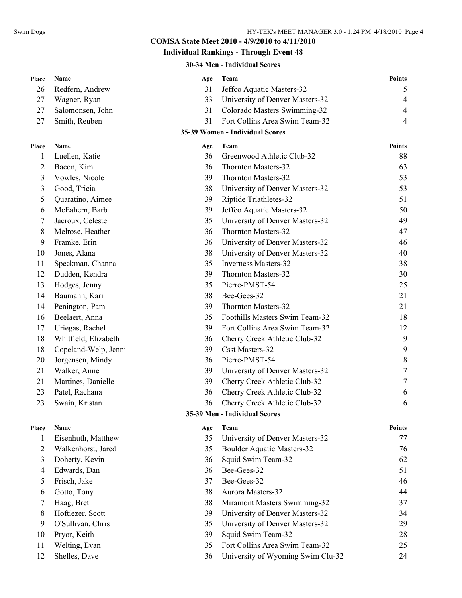#### **Individual Rankings - Through Event 48**

#### **30-34 Men - Individual Scores**

| Redfern, Andrew<br>31<br>Jeffco Aquatic Masters-32<br>26<br>5<br>27<br>Wagner, Ryan<br>33<br>University of Denver Masters-32<br>4<br>31<br>Colorado Masters Swimming-32<br>27<br>Salomonsen, John<br>4<br>31<br>Fort Collins Area Swim Team-32<br>27<br>Smith, Reuben<br>4<br>35-39 Women - Individual Scores<br><b>Points</b><br>Name<br>Team<br>Age<br>Place<br>36<br>Greenwood Athletic Club-32<br>88<br>Luellen, Katie<br>$\mathbf{1}$<br>$\overline{c}$<br>Bacon, Kim<br>36<br>Thornton Masters-32<br>63<br>3<br>Vowles, Nicole<br>39<br>Thornton Masters-32<br>53<br>38<br>3<br>Good, Tricia<br>University of Denver Masters-32<br>53<br>Riptide Triathletes-32<br>5<br>Quaratino, Aimee<br>39<br>51<br>39<br>Jeffco Aquatic Masters-32<br>McEahern, Barb<br>50<br>6<br>Jacroux, Celeste<br>University of Denver Masters-32<br>35<br>49<br>7<br>Melrose, Heather<br>Thornton Masters-32<br>8<br>36<br>47<br>9<br>University of Denver Masters-32<br>Framke, Erin<br>36<br>46<br>University of Denver Masters-32<br>10<br>Jones, Alana<br>38<br>40<br>35<br><b>Inverness Masters-32</b><br>Speckman, Channa<br>38<br>11<br>Dudden, Kendra<br>39<br>Thornton Masters-32<br>12<br>30<br>Pierre-PMST-54<br>13<br>Hodges, Jenny<br>35<br>25<br>Bee-Gees-32<br>Baumann, Kari<br>38<br>21<br>14<br>39<br>21<br>14<br>Penington, Pam<br>Thornton Masters-32<br>16<br>Beelaert, Anna<br>35<br>Foothills Masters Swim Team-32<br>18<br>Fort Collins Area Swim Team-32<br>17<br>Uriegas, Rachel<br>39<br>12<br>18<br>Whitfield, Elizabeth<br>Cherry Creek Athletic Club-32<br>9<br>36<br><b>Csst Masters-32</b><br>9<br>18<br>Copeland-Welp, Jenni<br>39<br>8<br>20<br>Jorgensen, Mindy<br>36<br>Pierre-PMST-54<br>7<br>21<br>Walker, Anne<br>39<br>University of Denver Masters-32<br>Cherry Creek Athletic Club-32<br>21<br>Martines, Danielle<br>39<br>7<br>Patel, Rachana<br>Cherry Creek Athletic Club-32<br>23<br>36<br>6<br>23<br>Swain, Kristan<br>36<br>Cherry Creek Athletic Club-32<br>6<br>35-39 Men - Individual Scores<br><b>Points</b><br>Name<br>Team<br>Age<br>Place<br>35<br>University of Denver Masters-32<br>Eisenhuth, Matthew<br>77<br>1<br>35<br><b>Boulder Aquatic Masters-32</b><br>2<br>Walkenhorst, Jared<br>76<br>Squid Swim Team-32<br>3<br>Doherty, Kevin<br>36<br>62<br>Edwards, Dan<br>Bee-Gees-32<br>36<br>51<br>4<br>Frisch, Jake<br>Bee-Gees-32<br>37<br>46<br>5 | Place | <b>Name</b> | Age | Team              | <b>Points</b> |
|-------------------------------------------------------------------------------------------------------------------------------------------------------------------------------------------------------------------------------------------------------------------------------------------------------------------------------------------------------------------------------------------------------------------------------------------------------------------------------------------------------------------------------------------------------------------------------------------------------------------------------------------------------------------------------------------------------------------------------------------------------------------------------------------------------------------------------------------------------------------------------------------------------------------------------------------------------------------------------------------------------------------------------------------------------------------------------------------------------------------------------------------------------------------------------------------------------------------------------------------------------------------------------------------------------------------------------------------------------------------------------------------------------------------------------------------------------------------------------------------------------------------------------------------------------------------------------------------------------------------------------------------------------------------------------------------------------------------------------------------------------------------------------------------------------------------------------------------------------------------------------------------------------------------------------------------------------------------------------------------------------------------------------------------------------------------------------------------------------------------------------------------------------------------------------------------------------------------------------------------------------------------------------------------------------------------------------------------------------------------------------------------------|-------|-------------|-----|-------------------|---------------|
|                                                                                                                                                                                                                                                                                                                                                                                                                                                                                                                                                                                                                                                                                                                                                                                                                                                                                                                                                                                                                                                                                                                                                                                                                                                                                                                                                                                                                                                                                                                                                                                                                                                                                                                                                                                                                                                                                                                                                                                                                                                                                                                                                                                                                                                                                                                                                                                                 |       |             |     |                   |               |
|                                                                                                                                                                                                                                                                                                                                                                                                                                                                                                                                                                                                                                                                                                                                                                                                                                                                                                                                                                                                                                                                                                                                                                                                                                                                                                                                                                                                                                                                                                                                                                                                                                                                                                                                                                                                                                                                                                                                                                                                                                                                                                                                                                                                                                                                                                                                                                                                 |       |             |     |                   |               |
|                                                                                                                                                                                                                                                                                                                                                                                                                                                                                                                                                                                                                                                                                                                                                                                                                                                                                                                                                                                                                                                                                                                                                                                                                                                                                                                                                                                                                                                                                                                                                                                                                                                                                                                                                                                                                                                                                                                                                                                                                                                                                                                                                                                                                                                                                                                                                                                                 |       |             |     |                   |               |
|                                                                                                                                                                                                                                                                                                                                                                                                                                                                                                                                                                                                                                                                                                                                                                                                                                                                                                                                                                                                                                                                                                                                                                                                                                                                                                                                                                                                                                                                                                                                                                                                                                                                                                                                                                                                                                                                                                                                                                                                                                                                                                                                                                                                                                                                                                                                                                                                 |       |             |     |                   |               |
|                                                                                                                                                                                                                                                                                                                                                                                                                                                                                                                                                                                                                                                                                                                                                                                                                                                                                                                                                                                                                                                                                                                                                                                                                                                                                                                                                                                                                                                                                                                                                                                                                                                                                                                                                                                                                                                                                                                                                                                                                                                                                                                                                                                                                                                                                                                                                                                                 |       |             |     |                   |               |
|                                                                                                                                                                                                                                                                                                                                                                                                                                                                                                                                                                                                                                                                                                                                                                                                                                                                                                                                                                                                                                                                                                                                                                                                                                                                                                                                                                                                                                                                                                                                                                                                                                                                                                                                                                                                                                                                                                                                                                                                                                                                                                                                                                                                                                                                                                                                                                                                 |       |             |     |                   |               |
|                                                                                                                                                                                                                                                                                                                                                                                                                                                                                                                                                                                                                                                                                                                                                                                                                                                                                                                                                                                                                                                                                                                                                                                                                                                                                                                                                                                                                                                                                                                                                                                                                                                                                                                                                                                                                                                                                                                                                                                                                                                                                                                                                                                                                                                                                                                                                                                                 |       |             |     |                   |               |
|                                                                                                                                                                                                                                                                                                                                                                                                                                                                                                                                                                                                                                                                                                                                                                                                                                                                                                                                                                                                                                                                                                                                                                                                                                                                                                                                                                                                                                                                                                                                                                                                                                                                                                                                                                                                                                                                                                                                                                                                                                                                                                                                                                                                                                                                                                                                                                                                 |       |             |     |                   |               |
|                                                                                                                                                                                                                                                                                                                                                                                                                                                                                                                                                                                                                                                                                                                                                                                                                                                                                                                                                                                                                                                                                                                                                                                                                                                                                                                                                                                                                                                                                                                                                                                                                                                                                                                                                                                                                                                                                                                                                                                                                                                                                                                                                                                                                                                                                                                                                                                                 |       |             |     |                   |               |
|                                                                                                                                                                                                                                                                                                                                                                                                                                                                                                                                                                                                                                                                                                                                                                                                                                                                                                                                                                                                                                                                                                                                                                                                                                                                                                                                                                                                                                                                                                                                                                                                                                                                                                                                                                                                                                                                                                                                                                                                                                                                                                                                                                                                                                                                                                                                                                                                 |       |             |     |                   |               |
|                                                                                                                                                                                                                                                                                                                                                                                                                                                                                                                                                                                                                                                                                                                                                                                                                                                                                                                                                                                                                                                                                                                                                                                                                                                                                                                                                                                                                                                                                                                                                                                                                                                                                                                                                                                                                                                                                                                                                                                                                                                                                                                                                                                                                                                                                                                                                                                                 |       |             |     |                   |               |
|                                                                                                                                                                                                                                                                                                                                                                                                                                                                                                                                                                                                                                                                                                                                                                                                                                                                                                                                                                                                                                                                                                                                                                                                                                                                                                                                                                                                                                                                                                                                                                                                                                                                                                                                                                                                                                                                                                                                                                                                                                                                                                                                                                                                                                                                                                                                                                                                 |       |             |     |                   |               |
|                                                                                                                                                                                                                                                                                                                                                                                                                                                                                                                                                                                                                                                                                                                                                                                                                                                                                                                                                                                                                                                                                                                                                                                                                                                                                                                                                                                                                                                                                                                                                                                                                                                                                                                                                                                                                                                                                                                                                                                                                                                                                                                                                                                                                                                                                                                                                                                                 |       |             |     |                   |               |
|                                                                                                                                                                                                                                                                                                                                                                                                                                                                                                                                                                                                                                                                                                                                                                                                                                                                                                                                                                                                                                                                                                                                                                                                                                                                                                                                                                                                                                                                                                                                                                                                                                                                                                                                                                                                                                                                                                                                                                                                                                                                                                                                                                                                                                                                                                                                                                                                 |       |             |     |                   |               |
|                                                                                                                                                                                                                                                                                                                                                                                                                                                                                                                                                                                                                                                                                                                                                                                                                                                                                                                                                                                                                                                                                                                                                                                                                                                                                                                                                                                                                                                                                                                                                                                                                                                                                                                                                                                                                                                                                                                                                                                                                                                                                                                                                                                                                                                                                                                                                                                                 |       |             |     |                   |               |
|                                                                                                                                                                                                                                                                                                                                                                                                                                                                                                                                                                                                                                                                                                                                                                                                                                                                                                                                                                                                                                                                                                                                                                                                                                                                                                                                                                                                                                                                                                                                                                                                                                                                                                                                                                                                                                                                                                                                                                                                                                                                                                                                                                                                                                                                                                                                                                                                 |       |             |     |                   |               |
|                                                                                                                                                                                                                                                                                                                                                                                                                                                                                                                                                                                                                                                                                                                                                                                                                                                                                                                                                                                                                                                                                                                                                                                                                                                                                                                                                                                                                                                                                                                                                                                                                                                                                                                                                                                                                                                                                                                                                                                                                                                                                                                                                                                                                                                                                                                                                                                                 |       |             |     |                   |               |
|                                                                                                                                                                                                                                                                                                                                                                                                                                                                                                                                                                                                                                                                                                                                                                                                                                                                                                                                                                                                                                                                                                                                                                                                                                                                                                                                                                                                                                                                                                                                                                                                                                                                                                                                                                                                                                                                                                                                                                                                                                                                                                                                                                                                                                                                                                                                                                                                 |       |             |     |                   |               |
|                                                                                                                                                                                                                                                                                                                                                                                                                                                                                                                                                                                                                                                                                                                                                                                                                                                                                                                                                                                                                                                                                                                                                                                                                                                                                                                                                                                                                                                                                                                                                                                                                                                                                                                                                                                                                                                                                                                                                                                                                                                                                                                                                                                                                                                                                                                                                                                                 |       |             |     |                   |               |
|                                                                                                                                                                                                                                                                                                                                                                                                                                                                                                                                                                                                                                                                                                                                                                                                                                                                                                                                                                                                                                                                                                                                                                                                                                                                                                                                                                                                                                                                                                                                                                                                                                                                                                                                                                                                                                                                                                                                                                                                                                                                                                                                                                                                                                                                                                                                                                                                 |       |             |     |                   |               |
|                                                                                                                                                                                                                                                                                                                                                                                                                                                                                                                                                                                                                                                                                                                                                                                                                                                                                                                                                                                                                                                                                                                                                                                                                                                                                                                                                                                                                                                                                                                                                                                                                                                                                                                                                                                                                                                                                                                                                                                                                                                                                                                                                                                                                                                                                                                                                                                                 |       |             |     |                   |               |
|                                                                                                                                                                                                                                                                                                                                                                                                                                                                                                                                                                                                                                                                                                                                                                                                                                                                                                                                                                                                                                                                                                                                                                                                                                                                                                                                                                                                                                                                                                                                                                                                                                                                                                                                                                                                                                                                                                                                                                                                                                                                                                                                                                                                                                                                                                                                                                                                 |       |             |     |                   |               |
|                                                                                                                                                                                                                                                                                                                                                                                                                                                                                                                                                                                                                                                                                                                                                                                                                                                                                                                                                                                                                                                                                                                                                                                                                                                                                                                                                                                                                                                                                                                                                                                                                                                                                                                                                                                                                                                                                                                                                                                                                                                                                                                                                                                                                                                                                                                                                                                                 |       |             |     |                   |               |
|                                                                                                                                                                                                                                                                                                                                                                                                                                                                                                                                                                                                                                                                                                                                                                                                                                                                                                                                                                                                                                                                                                                                                                                                                                                                                                                                                                                                                                                                                                                                                                                                                                                                                                                                                                                                                                                                                                                                                                                                                                                                                                                                                                                                                                                                                                                                                                                                 |       |             |     |                   |               |
|                                                                                                                                                                                                                                                                                                                                                                                                                                                                                                                                                                                                                                                                                                                                                                                                                                                                                                                                                                                                                                                                                                                                                                                                                                                                                                                                                                                                                                                                                                                                                                                                                                                                                                                                                                                                                                                                                                                                                                                                                                                                                                                                                                                                                                                                                                                                                                                                 |       |             |     |                   |               |
|                                                                                                                                                                                                                                                                                                                                                                                                                                                                                                                                                                                                                                                                                                                                                                                                                                                                                                                                                                                                                                                                                                                                                                                                                                                                                                                                                                                                                                                                                                                                                                                                                                                                                                                                                                                                                                                                                                                                                                                                                                                                                                                                                                                                                                                                                                                                                                                                 |       |             |     |                   |               |
|                                                                                                                                                                                                                                                                                                                                                                                                                                                                                                                                                                                                                                                                                                                                                                                                                                                                                                                                                                                                                                                                                                                                                                                                                                                                                                                                                                                                                                                                                                                                                                                                                                                                                                                                                                                                                                                                                                                                                                                                                                                                                                                                                                                                                                                                                                                                                                                                 |       |             |     |                   |               |
|                                                                                                                                                                                                                                                                                                                                                                                                                                                                                                                                                                                                                                                                                                                                                                                                                                                                                                                                                                                                                                                                                                                                                                                                                                                                                                                                                                                                                                                                                                                                                                                                                                                                                                                                                                                                                                                                                                                                                                                                                                                                                                                                                                                                                                                                                                                                                                                                 |       |             |     |                   |               |
|                                                                                                                                                                                                                                                                                                                                                                                                                                                                                                                                                                                                                                                                                                                                                                                                                                                                                                                                                                                                                                                                                                                                                                                                                                                                                                                                                                                                                                                                                                                                                                                                                                                                                                                                                                                                                                                                                                                                                                                                                                                                                                                                                                                                                                                                                                                                                                                                 |       |             |     |                   |               |
|                                                                                                                                                                                                                                                                                                                                                                                                                                                                                                                                                                                                                                                                                                                                                                                                                                                                                                                                                                                                                                                                                                                                                                                                                                                                                                                                                                                                                                                                                                                                                                                                                                                                                                                                                                                                                                                                                                                                                                                                                                                                                                                                                                                                                                                                                                                                                                                                 |       |             |     |                   |               |
|                                                                                                                                                                                                                                                                                                                                                                                                                                                                                                                                                                                                                                                                                                                                                                                                                                                                                                                                                                                                                                                                                                                                                                                                                                                                                                                                                                                                                                                                                                                                                                                                                                                                                                                                                                                                                                                                                                                                                                                                                                                                                                                                                                                                                                                                                                                                                                                                 |       |             |     |                   |               |
|                                                                                                                                                                                                                                                                                                                                                                                                                                                                                                                                                                                                                                                                                                                                                                                                                                                                                                                                                                                                                                                                                                                                                                                                                                                                                                                                                                                                                                                                                                                                                                                                                                                                                                                                                                                                                                                                                                                                                                                                                                                                                                                                                                                                                                                                                                                                                                                                 |       |             |     |                   |               |
|                                                                                                                                                                                                                                                                                                                                                                                                                                                                                                                                                                                                                                                                                                                                                                                                                                                                                                                                                                                                                                                                                                                                                                                                                                                                                                                                                                                                                                                                                                                                                                                                                                                                                                                                                                                                                                                                                                                                                                                                                                                                                                                                                                                                                                                                                                                                                                                                 |       |             |     |                   |               |
|                                                                                                                                                                                                                                                                                                                                                                                                                                                                                                                                                                                                                                                                                                                                                                                                                                                                                                                                                                                                                                                                                                                                                                                                                                                                                                                                                                                                                                                                                                                                                                                                                                                                                                                                                                                                                                                                                                                                                                                                                                                                                                                                                                                                                                                                                                                                                                                                 |       |             |     |                   |               |
|                                                                                                                                                                                                                                                                                                                                                                                                                                                                                                                                                                                                                                                                                                                                                                                                                                                                                                                                                                                                                                                                                                                                                                                                                                                                                                                                                                                                                                                                                                                                                                                                                                                                                                                                                                                                                                                                                                                                                                                                                                                                                                                                                                                                                                                                                                                                                                                                 |       |             |     |                   |               |
|                                                                                                                                                                                                                                                                                                                                                                                                                                                                                                                                                                                                                                                                                                                                                                                                                                                                                                                                                                                                                                                                                                                                                                                                                                                                                                                                                                                                                                                                                                                                                                                                                                                                                                                                                                                                                                                                                                                                                                                                                                                                                                                                                                                                                                                                                                                                                                                                 |       |             |     |                   |               |
|                                                                                                                                                                                                                                                                                                                                                                                                                                                                                                                                                                                                                                                                                                                                                                                                                                                                                                                                                                                                                                                                                                                                                                                                                                                                                                                                                                                                                                                                                                                                                                                                                                                                                                                                                                                                                                                                                                                                                                                                                                                                                                                                                                                                                                                                                                                                                                                                 |       |             |     |                   |               |
|                                                                                                                                                                                                                                                                                                                                                                                                                                                                                                                                                                                                                                                                                                                                                                                                                                                                                                                                                                                                                                                                                                                                                                                                                                                                                                                                                                                                                                                                                                                                                                                                                                                                                                                                                                                                                                                                                                                                                                                                                                                                                                                                                                                                                                                                                                                                                                                                 | 6     | Gotto, Tony | 38  | Aurora Masters-32 | 44            |
| Haag, Bret<br>38<br>Miramont Masters Swimming-32<br>37<br>7                                                                                                                                                                                                                                                                                                                                                                                                                                                                                                                                                                                                                                                                                                                                                                                                                                                                                                                                                                                                                                                                                                                                                                                                                                                                                                                                                                                                                                                                                                                                                                                                                                                                                                                                                                                                                                                                                                                                                                                                                                                                                                                                                                                                                                                                                                                                     |       |             |     |                   |               |
| Hoftiezer, Scott<br>39<br>University of Denver Masters-32<br>34<br>8                                                                                                                                                                                                                                                                                                                                                                                                                                                                                                                                                                                                                                                                                                                                                                                                                                                                                                                                                                                                                                                                                                                                                                                                                                                                                                                                                                                                                                                                                                                                                                                                                                                                                                                                                                                                                                                                                                                                                                                                                                                                                                                                                                                                                                                                                                                            |       |             |     |                   |               |
| O'Sullivan, Chris<br>35<br>University of Denver Masters-32<br>9<br>29                                                                                                                                                                                                                                                                                                                                                                                                                                                                                                                                                                                                                                                                                                                                                                                                                                                                                                                                                                                                                                                                                                                                                                                                                                                                                                                                                                                                                                                                                                                                                                                                                                                                                                                                                                                                                                                                                                                                                                                                                                                                                                                                                                                                                                                                                                                           |       |             |     |                   |               |
| Pryor, Keith<br>Squid Swim Team-32<br>39<br>10<br>28                                                                                                                                                                                                                                                                                                                                                                                                                                                                                                                                                                                                                                                                                                                                                                                                                                                                                                                                                                                                                                                                                                                                                                                                                                                                                                                                                                                                                                                                                                                                                                                                                                                                                                                                                                                                                                                                                                                                                                                                                                                                                                                                                                                                                                                                                                                                            |       |             |     |                   |               |
| Fort Collins Area Swim Team-32<br>Welting, Evan<br>35<br>11<br>25                                                                                                                                                                                                                                                                                                                                                                                                                                                                                                                                                                                                                                                                                                                                                                                                                                                                                                                                                                                                                                                                                                                                                                                                                                                                                                                                                                                                                                                                                                                                                                                                                                                                                                                                                                                                                                                                                                                                                                                                                                                                                                                                                                                                                                                                                                                               |       |             |     |                   |               |
| Shelles, Dave<br>University of Wyoming Swim Clu-32<br>12<br>36<br>24                                                                                                                                                                                                                                                                                                                                                                                                                                                                                                                                                                                                                                                                                                                                                                                                                                                                                                                                                                                                                                                                                                                                                                                                                                                                                                                                                                                                                                                                                                                                                                                                                                                                                                                                                                                                                                                                                                                                                                                                                                                                                                                                                                                                                                                                                                                            |       |             |     |                   |               |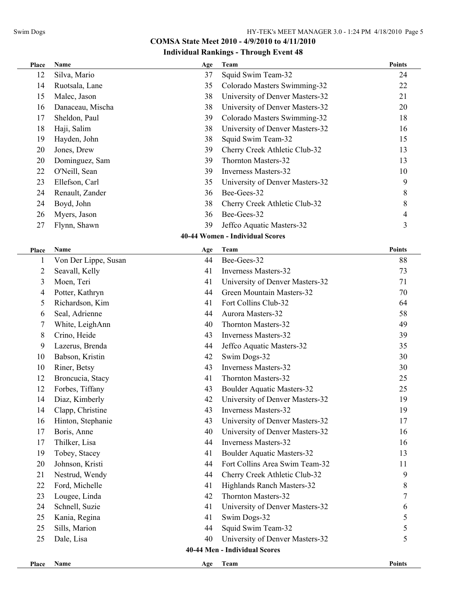| Place          | Name                 | Age | Team                              | <b>Points</b>  |
|----------------|----------------------|-----|-----------------------------------|----------------|
| 12             | Silva, Mario         | 37  | Squid Swim Team-32                | 24             |
| 14             | Ruotsala, Lane       | 35  | Colorado Masters Swimming-32      | 22             |
| 15             | Malec, Jason         | 38  | University of Denver Masters-32   | 21             |
| 16             | Danaceau, Mischa     | 38  | University of Denver Masters-32   | 20             |
| 17             | Sheldon, Paul        | 39  | Colorado Masters Swimming-32      | 18             |
| 18             | Haji, Salim          | 38  | University of Denver Masters-32   | 16             |
| 19             | Hayden, John         | 38  | Squid Swim Team-32                | 15             |
| 20             | Jones, Drew          | 39  | Cherry Creek Athletic Club-32     | 13             |
| 20             | Dominguez, Sam       | 39  | <b>Thornton Masters-32</b>        | 13             |
| 22             | O'Neill, Sean        | 39  | <b>Inverness Masters-32</b>       | 10             |
| 23             | Ellefson, Carl       | 35  | University of Denver Masters-32   | 9              |
| 24             | Renault, Zander      | 36  | Bee-Gees-32                       | 8              |
| 24             | Boyd, John           | 38  | Cherry Creek Athletic Club-32     | 8              |
| 26             | Myers, Jason         | 36  | Bee-Gees-32                       | $\overline{4}$ |
| 27             | Flynn, Shawn         | 39  | Jeffco Aquatic Masters-32         | 3              |
|                |                      |     | 40-44 Women - Individual Scores   |                |
| Place          | Name                 | Age | Team                              | <b>Points</b>  |
| $\mathbf{1}$   | Von Der Lippe, Susan | 44  | Bee-Gees-32                       | 88             |
| $\overline{2}$ | Seavall, Kelly       | 41  | <b>Inverness Masters-32</b>       | 73             |
| 3              | Moen, Teri           | 41  | University of Denver Masters-32   | 71             |
| 4              | Potter, Kathryn      | 44  | Green Mountain Masters-32         | 70             |
| 5              | Richardson, Kim      | 41  | Fort Collins Club-32              | 64             |
| 6              | Seal, Adrienne       | 44  | Aurora Masters-32                 | 58             |
| 7              | White, LeighAnn      | 40  | Thornton Masters-32               | 49             |
| 8              | Crino, Heide         | 43  | <b>Inverness Masters-32</b>       | 39             |
| 9              | Lazerus, Brenda      | 44  | Jeffco Aquatic Masters-32         | 35             |
| 10             | Babson, Kristin      | 42  | Swim Dogs-32                      | 30             |
| 10             | Riner, Betsy         | 43  | <b>Inverness Masters-32</b>       | 30             |
| 12             | Broncucia, Stacy     | 41  | Thornton Masters-32               | 25             |
| 12             | Forbes, Tiffany      | 43  | <b>Boulder Aquatic Masters-32</b> | 25             |
| 14             | Diaz, Kimberly       | 42  | University of Denver Masters-32   | 19             |
| 14             | Clapp, Christine     | 43  | <b>Inverness Masters-32</b>       | 19             |
| 16             | Hinton, Stephanie    | 43  | University of Denver Masters-32   | 17             |
| 17             | Boris, Anne          | 40  | University of Denver Masters-32   | 16             |
| 17             | Thilker, Lisa        | 44  | <b>Inverness Masters-32</b>       | 16             |
| 19             | Tobey, Stacey        | 41  | <b>Boulder Aquatic Masters-32</b> | 13             |
| 20             | Johnson, Kristi      | 44  | Fort Collins Area Swim Team-32    | 11             |
| 21             | Nestrud, Wendy       | 44  | Cherry Creek Athletic Club-32     | 9              |
| 22             | Ford, Michelle       | 41  | Highlands Ranch Masters-32        | 8              |
| 23             | Lougee, Linda        | 42  | Thornton Masters-32               | $\overline{7}$ |
| 24             | Schnell, Suzie       | 41  | University of Denver Masters-32   | 6              |
| 25             | Kania, Regina        | 41  | Swim Dogs-32                      | 5              |
| 25             | Sills, Marion        | 44  | Squid Swim Team-32                | 5              |
| 25             | Dale, Lisa           | 40  | University of Denver Masters-32   | 5              |
|                |                      |     | 40-44 Men - Individual Scores     |                |
|                |                      |     |                                   | <b>Points</b>  |
| Place          | Name                 | Age | Team                              |                |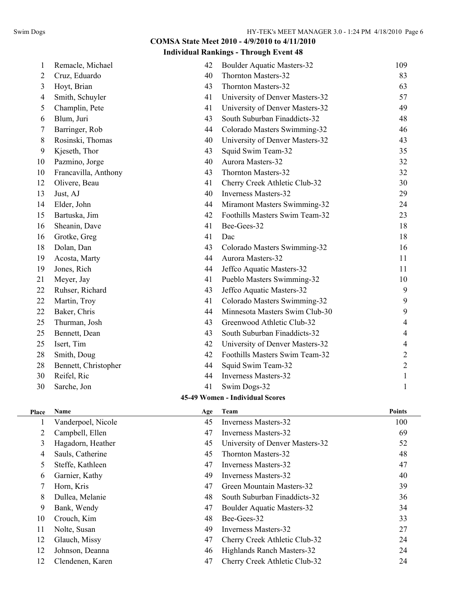#### **Individual Rankings - Through Event 48**

| $\mathbf{1}$   | Remacle, Michael     | 42  | <b>Boulder Aquatic Masters-32</b> | 109            |
|----------------|----------------------|-----|-----------------------------------|----------------|
| $\overline{c}$ | Cruz, Eduardo        | 40  | Thornton Masters-32               | 83             |
| 3              | Hoyt, Brian          | 43  | Thornton Masters-32               | 63             |
| 4              | Smith, Schuyler      | 41  | University of Denver Masters-32   | 57             |
| 5              | Champlin, Pete       | 41  | University of Denver Masters-32   | 49             |
| 6              | Blum, Juri           | 43  | South Suburban Finaddicts-32      | 48             |
| 7              | Barringer, Rob       | 44  | Colorado Masters Swimming-32      | 46             |
| 8              | Rosinski, Thomas     | 40  | University of Denver Masters-32   | 43             |
| 9              | Kjeseth, Thor        | 43  | Squid Swim Team-32                | 35             |
| 10             | Pazmino, Jorge       | 40  | Aurora Masters-32                 | 32             |
| 10             | Francavilla, Anthony | 43  | Thornton Masters-32               | 32             |
| 12             | Olivere, Beau        | 41  | Cherry Creek Athletic Club-32     | 30             |
| 13             | Just, AJ             | 40  | <b>Inverness Masters-32</b>       | 29             |
| 14             | Elder, John          | 44  | Miramont Masters Swimming-32      | 24             |
| 15             | Bartuska, Jim        | 42  | Foothills Masters Swim Team-32    | 23             |
| 16             | Sheanin, Dave        | 41  | Bee-Gees-32                       | 18             |
| 16             | Grotke, Greg         | 41  | Dac                               | 18             |
| 18             | Dolan, Dan           | 43  | Colorado Masters Swimming-32      | 16             |
| 19             | Acosta, Marty        | 44  | Aurora Masters-32                 | 11             |
| 19             | Jones, Rich          | 44  | Jeffco Aquatic Masters-32         | 11             |
| 21             | Meyer, Jay           | 41  | Pueblo Masters Swimming-32        | 10             |
| 22             | Ruhser, Richard      | 43  | Jeffco Aquatic Masters-32         | 9              |
| 22             | Martin, Troy         | 41  | Colorado Masters Swimming-32      | 9              |
| 22             | Baker, Chris         | 44  | Minnesota Masters Swim Club-30    | 9              |
| 25             | Thurman, Josh        | 43  | Greenwood Athletic Club-32        | 4              |
| 25             | Bennett, Dean        | 43  | South Suburban Finaddicts-32      | 4              |
| 25             | Isert, Tim           | 42  | University of Denver Masters-32   | 4              |
| 28             | Smith, Doug          | 42  | Foothills Masters Swim Team-32    | 2              |
| 28             | Bennett, Christopher | 44  | Squid Swim Team-32                | $\overline{2}$ |
| 30             | Reifel, Ric          | 44  | <b>Inverness Masters-32</b>       | 1              |
| 30             | Sarche, Jon          | 41  | Swim Dogs-32                      | 1              |
|                |                      |     | 45-49 Women - Individual Scores   |                |
| Place          | <b>Name</b>          | Age | Team                              | <b>Points</b>  |
| 1              | Vanderpoel, Nicole   | 45  | <b>Inverness Masters-32</b>       | 100            |
| $\overline{2}$ | Campbell, Ellen      | 47  | <b>Inverness Masters-32</b>       | 69             |
| 3              | Hagadorn, Heather    | 45  | University of Denver Masters-32   | 52             |
| 4              | Sauls, Catherine     | 45  | <b>Thornton Masters-32</b>        | 48             |
| 5              | Steffe, Kathleen     | 47  | <b>Inverness Masters-32</b>       | 47             |
| 6              | Garnier, Kathy       | 49  | <b>Inverness Masters-32</b>       | 40             |

 Horn, Kris 47 Green Mountain Masters-32 39 Dullea, Melanie 48 South Suburban Finaddicts-32 36 9 Bank, Wendy 34 Boulder Aquatic Masters-32 10 Crouch, Kim 48 Bee-Gees-32 33 11 Nolte, Susan 49 Inverness Masters-32 27 Glauch, Missy 47 Cherry Creek Athletic Club-32 24 Johnson, Deanna 46 Highlands Ranch Masters-32 24 Clendenen, Karen 47 Cherry Creek Athletic Club-32 24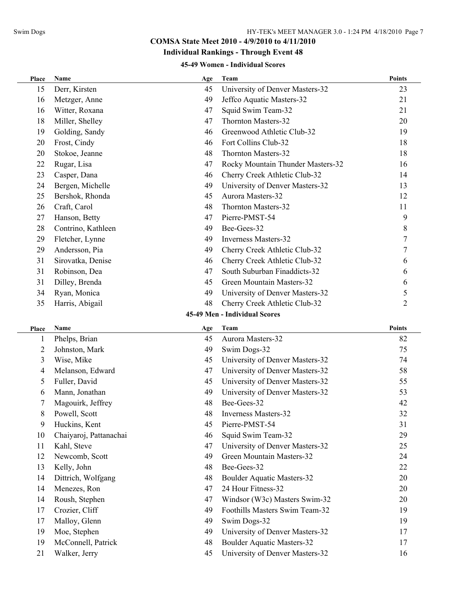## **Individual Rankings - Through Event 48**

#### **45-49 Women - Individual Scores**

| Place          | Name                   | Age | Team                              | <b>Points</b>  |
|----------------|------------------------|-----|-----------------------------------|----------------|
| 15             | Derr, Kirsten          | 45  | University of Denver Masters-32   | 23             |
| 16             | Metzger, Anne          | 49  | Jeffco Aquatic Masters-32         | 21             |
| 16             | Witter, Roxana         | 47  | Squid Swim Team-32                | 21             |
| 18             | Miller, Shelley        | 47  | Thornton Masters-32               | 20             |
| 19             | Golding, Sandy         | 46  | Greenwood Athletic Club-32        | 19             |
| 20             | Frost, Cindy           | 46  | Fort Collins Club-32              | 18             |
| 20             | Stokoe, Jeanne         | 48  | Thornton Masters-32               | 18             |
| 22             | Rugar, Lisa            | 47  | Rocky Mountain Thunder Masters-32 | 16             |
| 23             | Casper, Dana           | 46  | Cherry Creek Athletic Club-32     | 14             |
| 24             | Bergen, Michelle       | 49  | University of Denver Masters-32   | 13             |
| 25             | Bershok, Rhonda        | 45  | Aurora Masters-32                 | 12             |
| 26             | Craft, Carol           | 48  | Thornton Masters-32               | 11             |
| 27             | Hanson, Betty          | 47  | Pierre-PMST-54                    | 9              |
| 28             | Contrino, Kathleen     | 49  | Bee-Gees-32                       | $8\,$          |
| 29             | Fletcher, Lynne        | 49  | <b>Inverness Masters-32</b>       | $\overline{7}$ |
| 29             | Andersson, Pia         | 49  | Cherry Creek Athletic Club-32     | $\overline{7}$ |
| 31             | Sirovatka, Denise      | 46  | Cherry Creek Athletic Club-32     | 6              |
| 31             | Robinson, Dea          | 47  | South Suburban Finaddicts-32      | 6              |
| 31             | Dilley, Brenda         | 45  | Green Mountain Masters-32         | 6              |
| 34             | Ryan, Monica           | 49  | University of Denver Masters-32   | 5              |
| 35             | Harris, Abigail        | 48  | Cherry Creek Athletic Club-32     | $\overline{2}$ |
|                |                        |     | 45-49 Men - Individual Scores     |                |
| Place          | Name                   | Age | Team                              | <b>Points</b>  |
| 1              | Phelps, Brian          | 45  | Aurora Masters-32                 | 82             |
| $\overline{2}$ | Johnston, Mark         | 49  | Swim Dogs-32                      | 75             |
| 3              | Wise, Mike             | 45  | University of Denver Masters-32   | 74             |
| 4              | Melanson, Edward       | 47  | University of Denver Masters-32   | 58             |
| 5              | Fuller, David          | 45  | University of Denver Masters-32   | 55             |
| 6              | Mann, Jonathan         | 49  | University of Denver Masters-32   | 53             |
| 7              | Magouirk, Jeffrey      | 48  | Bee-Gees-32                       | 42             |
| 8              | Powell, Scott          | 48  | <b>Inverness Masters-32</b>       | 32             |
| 9              | Huckins, Kent          | 45  | Pierre-PMST-54                    | 31             |
| 10             | Chaiyaroj, Pattanachai | 46  | Squid Swim Team-32                | 29             |
| 11             | Kahl, Steve            | 47  | University of Denver Masters-32   | 25             |
| 12             | Newcomb, Scott         | 49  | Green Mountain Masters-32         | 24             |
| 13             | Kelly, John            | 48  | Bee-Gees-32                       | 22             |
| 14             | Dittrich, Wolfgang     | 48  | <b>Boulder Aquatic Masters-32</b> | 20             |
| 14             | Menezes, Ron           | 47  | 24 Hour Fitness-32                | 20             |
| 14             | Roush, Stephen         | 47  | Windsor (W3c) Masters Swim-32     | 20             |
| 17             | Crozier, Cliff         | 49  | Foothills Masters Swim Team-32    | 19             |
| 17             | Malloy, Glenn          | 49  | Swim Dogs-32                      | 19             |
| 19             | Moe, Stephen           | 49  | University of Denver Masters-32   | 17             |
| 19             | McConnell, Patrick     | 48  | <b>Boulder Aquatic Masters-32</b> | 17             |
| 21             | Walker, Jerry          | 45  | University of Denver Masters-32   | 16             |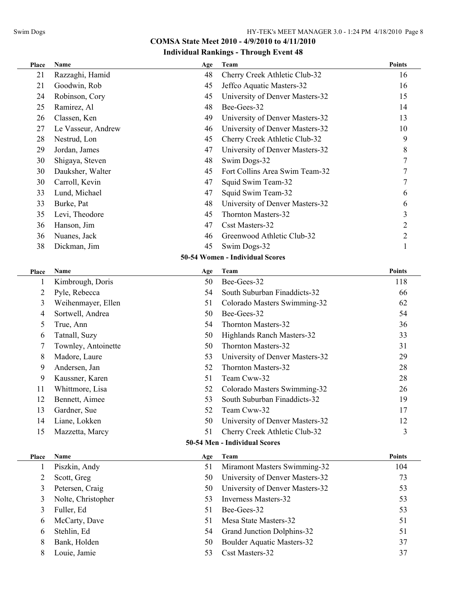| Place                         | Name                | Age | Team                              | <b>Points</b>  |  |
|-------------------------------|---------------------|-----|-----------------------------------|----------------|--|
| 21                            | Razzaghi, Hamid     | 48  | Cherry Creek Athletic Club-32     | 16             |  |
| 21                            | Goodwin, Rob        | 45  | Jeffco Aquatic Masters-32         | 16             |  |
| 24                            | Robinson, Cory      | 45  | University of Denver Masters-32   | 15             |  |
| 25                            | Ramirez, Al         | 48  | Bee-Gees-32                       | 14             |  |
| 26                            | Classen, Ken        | 49  | University of Denver Masters-32   | 13             |  |
| 27                            | Le Vasseur, Andrew  | 46  | University of Denver Masters-32   | 10             |  |
| 28                            | Nestrud, Lon        | 45  | Cherry Creek Athletic Club-32     | 9              |  |
| 29                            | Jordan, James       | 47  | University of Denver Masters-32   | 8              |  |
| 30                            | Shigaya, Steven     | 48  | Swim Dogs-32                      | 7              |  |
| 30                            | Dauksher, Walter    | 45  | Fort Collins Area Swim Team-32    | 7              |  |
| 30                            | Carroll, Kevin      | 47  | Squid Swim Team-32                | 7              |  |
| 33                            | Lund, Michael       | 47  | Squid Swim Team-32                | 6              |  |
| 33                            | Burke, Pat          | 48  | University of Denver Masters-32   | 6              |  |
| 35                            | Levi, Theodore      | 45  | <b>Thornton Masters-32</b>        | 3              |  |
| 36                            | Hanson, Jim         | 47  | <b>Csst Masters-32</b>            | $\overline{2}$ |  |
| 36                            | Nuanes, Jack        | 46  | Greenwood Athletic Club-32        | $\overline{2}$ |  |
| 38                            | Dickman, Jim        | 45  | Swim Dogs-32                      | $\mathbf{1}$   |  |
|                               |                     |     | 50-54 Women - Individual Scores   |                |  |
| Place                         | Name                | Age | Team                              | <b>Points</b>  |  |
| 1                             | Kimbrough, Doris    | 50  | Bee-Gees-32                       | 118            |  |
| 2                             | Pyle, Rebecca       | 54  | South Suburban Finaddicts-32      | 66             |  |
| 3                             | Weihenmayer, Ellen  | 51  | Colorado Masters Swimming-32      | 62             |  |
| $\overline{4}$                | Sortwell, Andrea    | 50  | Bee-Gees-32                       | 54             |  |
| 5                             | True, Ann           | 54  | Thornton Masters-32               | 36             |  |
| 6                             | Tatnall, Suzy       | 50  | Highlands Ranch Masters-32        | 33             |  |
| 7                             | Townley, Antoinette | 50  | Thornton Masters-32               | 31             |  |
| 8                             | Madore, Laure       | 53  | University of Denver Masters-32   | 29             |  |
| 9                             | Andersen, Jan       | 52  | Thornton Masters-32               | 28             |  |
| 9                             | Kaussner, Karen     | 51  | Team Cww-32                       | 28             |  |
| 11                            | Whittmore, Lisa     | 52  | Colorado Masters Swimming-32      | 26             |  |
| 12                            | Bennett, Aimee      | 53  | South Suburban Finaddicts-32      | 19             |  |
| 13                            | Gardner, Sue        | 52  | Team Cww-32                       | 17             |  |
| 14                            | Liane, Lokken       | 50  | University of Denver Masters-32   | 12             |  |
| 15                            | Mazzetta, Marcy     | 51  | Cherry Creek Athletic Club-32     | 3              |  |
| 50-54 Men - Individual Scores |                     |     |                                   |                |  |
| Place                         | Name                | Age | Team                              | Points         |  |
| 1                             | Piszkin, Andy       | 51  | Miramont Masters Swimming-32      | 104            |  |
| 2                             | Scott, Greg         | 50  | University of Denver Masters-32   | 73             |  |
| 3                             | Petersen, Craig     | 50  | University of Denver Masters-32   | 53             |  |
| 3                             | Nolte, Christopher  | 53  | <b>Inverness Masters-32</b>       | 53             |  |
| 3                             | Fuller, Ed          | 51  | Bee-Gees-32                       | 53             |  |
| 6                             | McCarty, Dave       | 51  | Mesa State Masters-32             | 51             |  |
| 6                             | Stehlin, Ed         | 54  | Grand Junction Dolphins-32        | 51             |  |
| 8                             | Bank, Holden        | 50  | <b>Boulder Aquatic Masters-32</b> | 37             |  |
| 8                             | Louie, Jamie        | 53  | Csst Masters-32                   | 37             |  |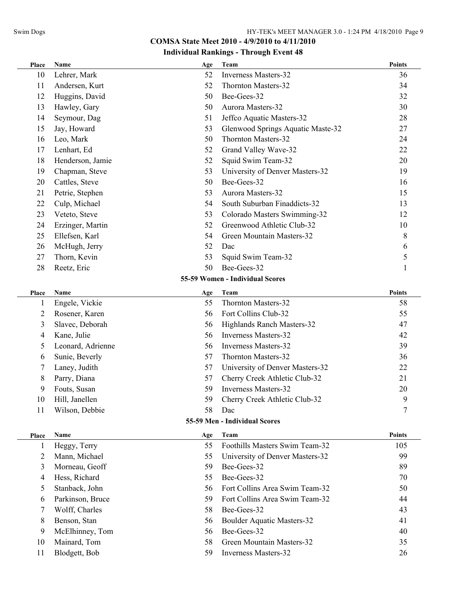| Place          | Name              | Age | Team                              | <b>Points</b> |
|----------------|-------------------|-----|-----------------------------------|---------------|
| 10             | Lehrer, Mark      | 52  | <b>Inverness Masters-32</b>       | 36            |
| 11             | Andersen, Kurt    | 52  | Thornton Masters-32               | 34            |
| 12             | Huggins, David    | 50  | Bee-Gees-32                       | 32            |
| 13             | Hawley, Gary      | 50  | Aurora Masters-32                 | 30            |
| 14             | Seymour, Dag      | 51  | Jeffco Aquatic Masters-32         | 28            |
| 15             | Jay, Howard       | 53  | Glenwood Springs Aquatic Maste-32 | 27            |
| 16             | Leo, Mark         | 50  | <b>Thornton Masters-32</b>        | 24            |
| 17             | Lenhart, Ed       | 52  | Grand Valley Wave-32              | 22            |
| 18             | Henderson, Jamie  | 52  | Squid Swim Team-32                | 20            |
| 19             | Chapman, Steve    | 53  | University of Denver Masters-32   | 19            |
| 20             | Cattles, Steve    | 50  | Bee-Gees-32                       | 16            |
| 21             | Petrie, Stephen   | 53  | Aurora Masters-32                 | 15            |
| 22             | Culp, Michael     | 54  | South Suburban Finaddicts-32      | 13            |
| 23             | Veteto, Steve     | 53  | Colorado Masters Swimming-32      | 12            |
| 24             | Erzinger, Martin  | 52  | Greenwood Athletic Club-32        | 10            |
| 25             | Ellefsen, Karl    | 54  | Green Mountain Masters-32         | 8             |
| 26             | McHugh, Jerry     | 52  | Dac                               | 6             |
| 27             | Thorn, Kevin      | 53  | Squid Swim Team-32                | 5             |
| 28             | Reetz, Eric       | 50  | Bee-Gees-32                       | $\mathbf{1}$  |
|                |                   |     | 55-59 Women - Individual Scores   |               |
| Place          | Name              | Age | Team                              | <b>Points</b> |
| 1              | Engele, Vickie    | 55  | Thornton Masters-32               | 58            |
| $\overline{2}$ | Rosener, Karen    | 56  | Fort Collins Club-32              | 55            |
| 3              | Slavec, Deborah   | 56  | Highlands Ranch Masters-32        | 47            |
| 4              | Kane, Julie       | 56  | <b>Inverness Masters-32</b>       | 42            |
| 5              | Leonard, Adrienne | 56  | Inverness Masters-32              | 39            |
| 6              | Sunie, Beverly    | 57  | Thornton Masters-32               | 36            |
| 7              | Laney, Judith     | 57  | University of Denver Masters-32   | 22            |
| 8              | Parry, Diana      | 57  | Cherry Creek Athletic Club-32     | 21            |
| 9              | Fouts, Susan      | 59  | <b>Inverness Masters-32</b>       | 20            |
| 10             | Hill, Janellen    | 59  | Cherry Creek Athletic Club-32     | 9             |
| 11             | Wilson, Debbie    | 58  | Dac                               | 7             |
|                |                   |     | 55-59 Men - Individual Scores     |               |
| Place          | Name              | Age | Team                              | <b>Points</b> |
| $\mathbf{1}$   | Heggy, Terry      | 55  | Foothills Masters Swim Team-32    | 105           |
| $\overline{2}$ | Mann, Michael     | 55  | University of Denver Masters-32   | 99            |
| 3              | Morneau, Geoff    | 59  | Bee-Gees-32                       | 89            |
| 4              | Hess, Richard     | 55  | Bee-Gees-32                       | 70            |
| 5              | Stanback, John    | 56  | Fort Collins Area Swim Team-32    | 50            |
| 6              | Parkinson, Bruce  | 59  | Fort Collins Area Swim Team-32    | 44            |
| 7              | Wolff, Charles    | 58  | Bee-Gees-32                       | 43            |
| 8              | Benson, Stan      | 56  | <b>Boulder Aquatic Masters-32</b> | 41            |
| 9              | McElhinney, Tom   | 56  | Bee-Gees-32                       | 40            |
| 10             | Mainard, Tom      | 58  | Green Mountain Masters-32         | 35            |
| 11             | Blodgett, Bob     | 59  | <b>Inverness Masters-32</b>       | 26            |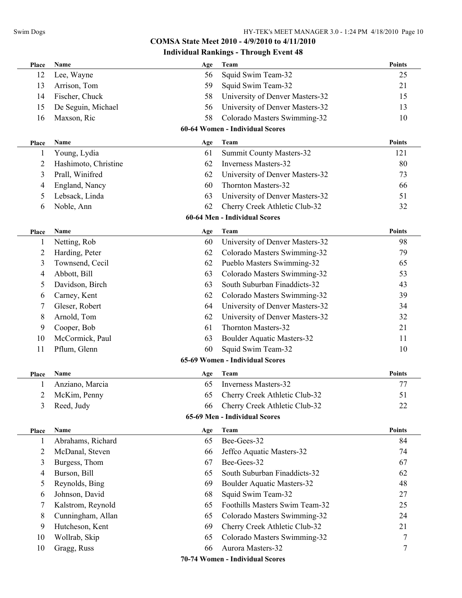## **Individual Rankings - Through Event 48**

| Place        | Name                 | Age | <b>Team</b>                       | Points        |
|--------------|----------------------|-----|-----------------------------------|---------------|
| 12           | Lee, Wayne           | 56  | Squid Swim Team-32                | 25            |
| 13           | Arrison, Tom         | 59  | Squid Swim Team-32                | 21            |
| 14           | Fischer, Chuck       | 58  | University of Denver Masters-32   | 15            |
| 15           | De Seguin, Michael   | 56  | University of Denver Masters-32   | 13            |
| 16           | Maxson, Ric          | 58  | Colorado Masters Swimming-32      | 10            |
|              |                      |     | 60-64 Women - Individual Scores   |               |
| Place        | Name                 | Age | Team                              | <b>Points</b> |
|              | Young, Lydia         | 61  | <b>Summit County Masters-32</b>   | 121           |
| 2            | Hashimoto, Christine | 62  | Inverness Masters-32              | 80            |
| 3            | Prall, Winifred      | 62  | University of Denver Masters-32   | 73            |
| 4            | England, Nancy       | 60  | Thornton Masters-32               | 66            |
| 5            | Lebsack, Linda       | 63  | University of Denver Masters-32   | 51            |
| 6            | Noble, Ann           | 62  | Cherry Creek Athletic Club-32     | 32            |
|              |                      |     | 60-64 Men - Individual Scores     |               |
| Place        | <b>Name</b>          | Age | Team                              | <b>Points</b> |
| 1            | Netting, Rob         | 60  | University of Denver Masters-32   | 98            |
| 2            | Harding, Peter       | 62  | Colorado Masters Swimming-32      | 79            |
| 3            | Townsend, Cecil      | 62  | Pueblo Masters Swimming-32        | 65            |
| 4            | Abbott, Bill         | 63  | Colorado Masters Swimming-32      | 53            |
| 5            | Davidson, Birch      | 63  | South Suburban Finaddicts-32      | 43            |
| 6            | Carney, Kent         | 62  | Colorado Masters Swimming-32      | 39            |
| 7            | Gleser, Robert       | 64  | University of Denver Masters-32   | 34            |
| 8            | Arnold, Tom          | 62  | University of Denver Masters-32   | 32            |
| 9            | Cooper, Bob          | 61  | Thornton Masters-32               | 21            |
| 10           | McCormick, Paul      | 63  | <b>Boulder Aquatic Masters-32</b> | 11            |
| 11           | Pflum, Glenn         | 60  | Squid Swim Team-32                | 10            |
|              |                      |     | 65-69 Women - Individual Scores   |               |
| Place        | Name                 | Age | Team                              | <b>Points</b> |
|              | Anziano, Marcia      | 65  | <b>Inverness Masters-32</b>       | 77            |
| 2            | McKim, Penny         | 65  | Cherry Creek Athletic Club-32     | 51            |
| 3            | Reed, Judy           | 66  | Cherry Creek Athletic Club-32     | 22            |
|              |                      |     | 65-69 Men - Individual Scores     |               |
| Place        | Name                 | Age | Team                              | <b>Points</b> |
| $\mathbf{I}$ | Abrahams, Richard    | 65  | Bee-Gees-32                       | 84            |
| 2            | McDanal, Steven      | 66  | Jeffco Aquatic Masters-32         | 74            |
| 3            | Burgess, Thom        | 67  | Bee-Gees-32                       | 67            |
| 4            | Burson, Bill         | 65  | South Suburban Finaddicts-32      | 62            |
| 5            | Reynolds, Bing       | 69  | <b>Boulder Aquatic Masters-32</b> | 48            |
| 6            | Johnson, David       | 68  | Squid Swim Team-32                | 27            |
| 7            | Kalstrom, Reynold    | 65  | Foothills Masters Swim Team-32    | 25            |
| 8            | Cunningham, Allan    | 65  | Colorado Masters Swimming-32      | 24            |
| 9            | Hutcheson, Kent      | 69  | Cherry Creek Athletic Club-32     | 21            |
| 10           | Wollrab, Skip        | 65  | Colorado Masters Swimming-32      | 7             |
| 10           | Gragg, Russ          | 66  | Aurora Masters-32                 | 7             |
|              |                      |     | 70-74 Women - Individual Scores   |               |